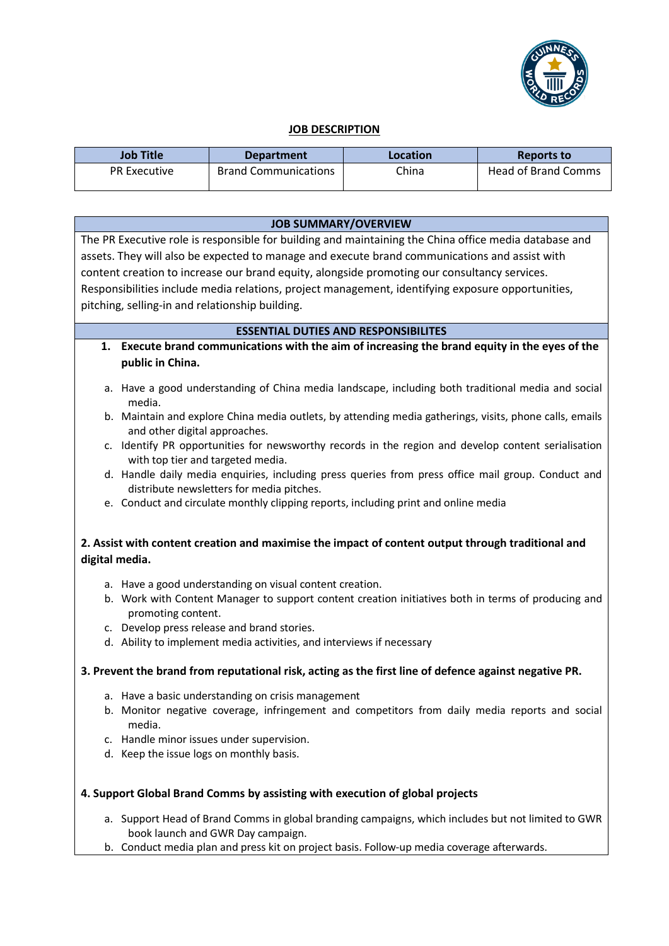

## **JOB DESCRIPTION**

| Job Title           | <b>Department</b>           | Location | Reports to          |
|---------------------|-----------------------------|----------|---------------------|
| <b>PR Executive</b> | <b>Brand Communications</b> | China    | Head of Brand Comms |

| <b>JOB SUMMARY/OVERVIEW</b>                                                                                         |                                                                                                                                                 |  |
|---------------------------------------------------------------------------------------------------------------------|-------------------------------------------------------------------------------------------------------------------------------------------------|--|
| The PR Executive role is responsible for building and maintaining the China office media database and               |                                                                                                                                                 |  |
| assets. They will also be expected to manage and execute brand communications and assist with                       |                                                                                                                                                 |  |
| content creation to increase our brand equity, alongside promoting our consultancy services.                        |                                                                                                                                                 |  |
| Responsibilities include media relations, project management, identifying exposure opportunities,                   |                                                                                                                                                 |  |
|                                                                                                                     | pitching, selling-in and relationship building.                                                                                                 |  |
| <b>ESSENTIAL DUTIES AND RESPONSIBILITES</b>                                                                         |                                                                                                                                                 |  |
| 1.                                                                                                                  | Execute brand communications with the aim of increasing the brand equity in the eyes of the                                                     |  |
|                                                                                                                     | public in China.                                                                                                                                |  |
|                                                                                                                     |                                                                                                                                                 |  |
|                                                                                                                     | a. Have a good understanding of China media landscape, including both traditional media and social<br>media.                                    |  |
|                                                                                                                     | b. Maintain and explore China media outlets, by attending media gatherings, visits, phone calls, emails<br>and other digital approaches.        |  |
|                                                                                                                     | c. Identify PR opportunities for newsworthy records in the region and develop content serialisation<br>with top tier and targeted media.        |  |
|                                                                                                                     | d. Handle daily media enquiries, including press queries from press office mail group. Conduct and<br>distribute newsletters for media pitches. |  |
|                                                                                                                     | e. Conduct and circulate monthly clipping reports, including print and online media                                                             |  |
|                                                                                                                     |                                                                                                                                                 |  |
| 2. Assist with content creation and maximise the impact of content output through traditional and<br>digital media. |                                                                                                                                                 |  |
|                                                                                                                     | a. Have a good understanding on visual content creation.                                                                                        |  |
|                                                                                                                     | b. Work with Content Manager to support content creation initiatives both in terms of producing and<br>promoting content.                       |  |
|                                                                                                                     | c. Develop press release and brand stories.                                                                                                     |  |
|                                                                                                                     | d. Ability to implement media activities, and interviews if necessary                                                                           |  |
| 3. Prevent the brand from reputational risk, acting as the first line of defence against negative PR.               |                                                                                                                                                 |  |
|                                                                                                                     | a. Have a basic understanding on crisis management                                                                                              |  |
|                                                                                                                     | b. Monitor negative coverage, infringement and competitors from daily media reports and social<br>media.                                        |  |
|                                                                                                                     | c. Handle minor issues under supervision.                                                                                                       |  |
|                                                                                                                     | d. Keep the issue logs on monthly basis.                                                                                                        |  |
| 4. Support Global Brand Comms by assisting with execution of global projects                                        |                                                                                                                                                 |  |
|                                                                                                                     | a. Support Head of Brand Comms in global branding campaigns, which includes but not limited to GWR<br>book launch and GWR Day campaign.         |  |
|                                                                                                                     | b. Conduct media plan and press kit on project basis. Follow-up media coverage afterwards.                                                      |  |